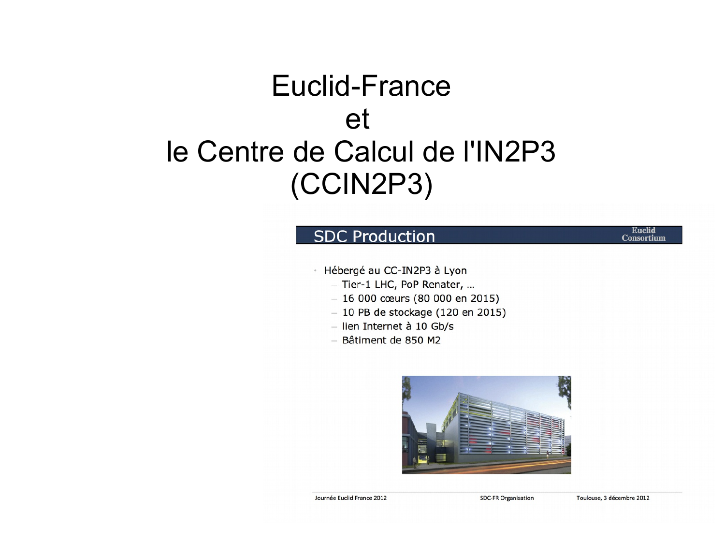### Euclid-France et le Centre de Calcul de l'IN2P3 (CCIN2P3)

### **SDC Production**

· Hébergé au CC-IN2P3 à Lyon

- Tier-1 LHC, PoP Renater, ...
- $-16000$  cœurs (80 000 en 2015)
- $-10$  PB de stockage (120 en 2015)
- lien Internet à 10 Gb/s
- Bâtiment de 850 M2



Journée Euclid France 2012

**SDC-FR Organisation** 

**Euclid Consortium**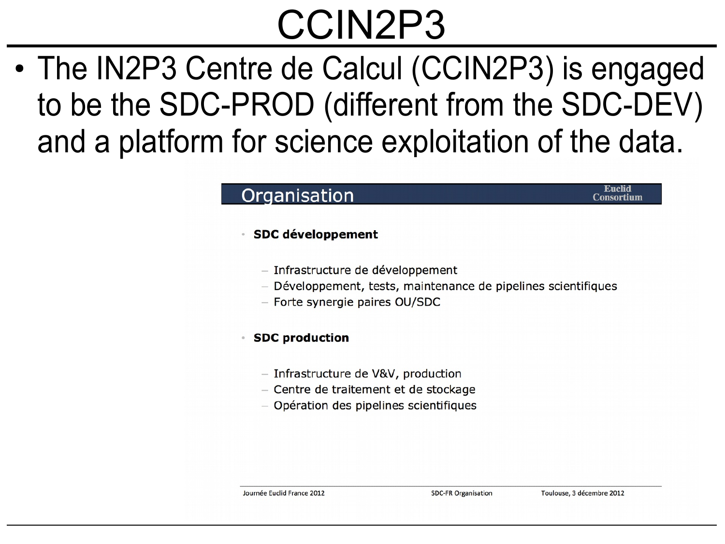### CCIN2P3

• The IN2P3 Centre de Calcul (CCIN2P3) is engaged to be the SDC-PROD (different from the SDC-DEV) and a platform for science exploitation of the data.

### Organisation

#### **SDC développement**

- Infrastructure de développement
- Développement, tests, maintenance de pipelines scientifiques
- Forte synergie paires OU/SDC

#### **SDC production**

- Infrastructure de V&V, production
- Centre de traitement et de stockage
- Opération des pipelines scientifiques

**Euclid** 

**Consortium**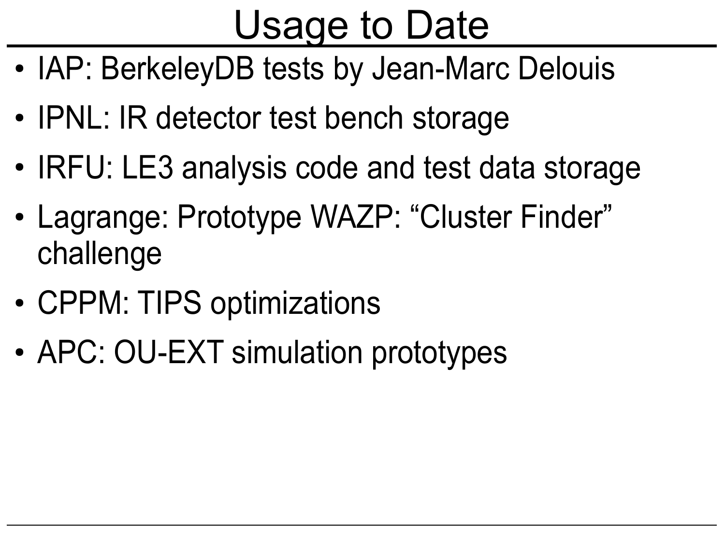## Usage to Date

- IAP: BerkeleyDB tests by Jean-Marc Delouis
- IPNL: IR detector test bench storage
- IRFU: LE3 analysis code and test data storage
- Lagrange: Prototype WAZP: "Cluster Finder" challenge
- CPPM: TIPS optimizations
- APC: OU-EXT simulation prototypes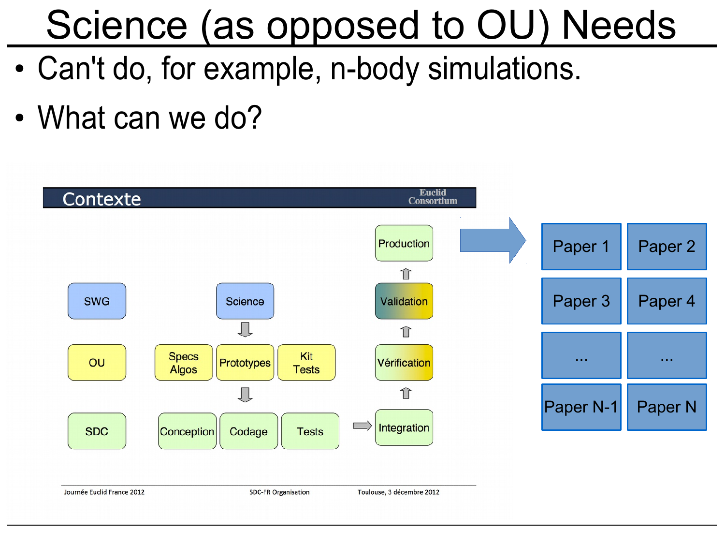## Science (as opposed to OU) Needs

- Can't do, for example, n-body simulations.
- What can we do?

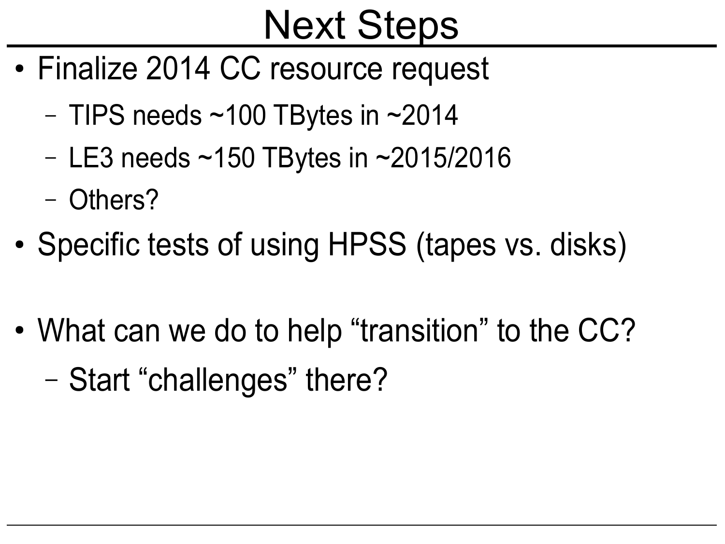## Next Steps

- Finalize 2014 CC resource request
	- TIPS needs  $\sim$ 100 TBytes in  $\sim$ 2014
	- LE3 needs ~150 TBytes in ~2015/2016
	- Others?
- Specific tests of using HPSS (tapes vs. disks)
- What can we do to help "transition" to the CC?
	- Start "challenges" there?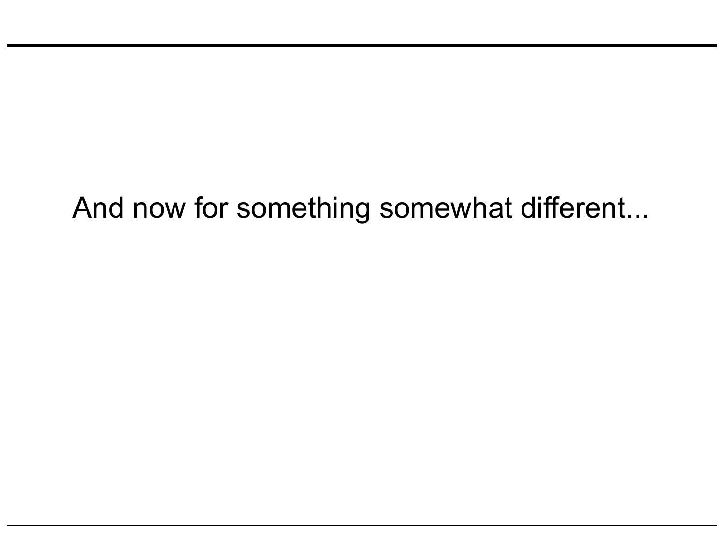### And now for something somewhat different...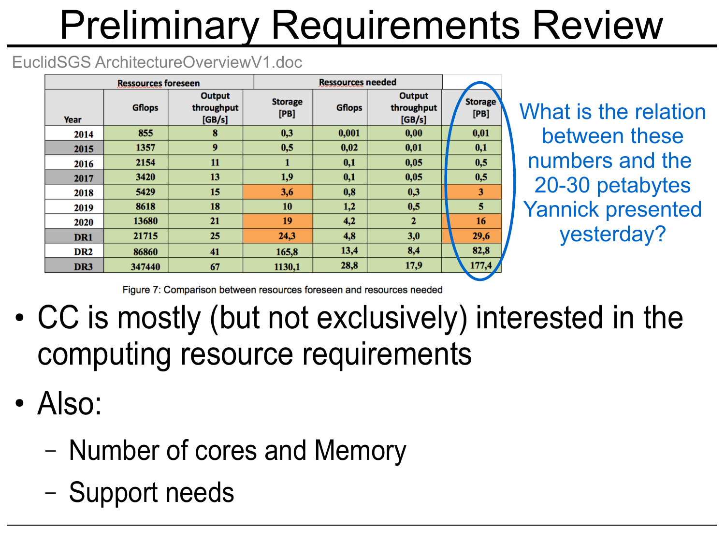# Preliminary Requirements Review

### EuclidSGS ArchitectureOverviewV1.doc

| <b>Ressources foreseen</b> |               |                                       | <b>Ressources needed</b> |               |                                       |                        |
|----------------------------|---------------|---------------------------------------|--------------------------|---------------|---------------------------------------|------------------------|
| Year                       | <b>Gflops</b> | <b>Output</b><br>throughput<br>[GB/s] | <b>Storage</b><br>[PB]   | <b>Gflops</b> | <b>Output</b><br>throughput<br>[GB/s] | <b>Storage</b><br>[PB] |
| 2014                       | 855           | 8                                     | 0,3                      | 0,001         | 0,00                                  | 0,01                   |
| 2015                       | 1357          | 9                                     | 0,5                      | 0,02          | 0,01                                  | 0,1                    |
| 2016                       | 2154          | 11                                    | 1                        | 0,1           | 0,05                                  | 0,5                    |
| 2017                       | 3420          | 13                                    | 1,9                      | 0,1           | 0,05                                  | 0,5                    |
| 2018                       | 5429          | 15                                    | 3,6                      | 0,8           | 0,3                                   | 3                      |
| 2019                       | 8618          | 18                                    | 10                       | 1,2           | 0,5                                   | 5                      |
| 2020                       | 13680         | 21                                    | 19                       | 4,2           | $\overline{2}$                        | 16                     |
| DR1                        | 21715         | 25                                    | 24,3                     | 4,8           | 3,0                                   | 29,6                   |
| DR <sub>2</sub>            | 86860         | 41                                    | 165,8                    | 13,4          | 8,4                                   | 82,8                   |
| DR <sub>3</sub>            | 347440        | 67                                    | 1130,1                   | 28,8          | 17,9                                  | 177,4                  |

What is the relation between these numbers and the 20-30 petabytes Yannick presented yesterday?

Figure 7: Comparison between resources foreseen and resources needed

- CC is mostly (but not exclusively) interested in the computing resource requirements
- $\cdot$  Also:
	- Number of cores and Memory
	- Support needs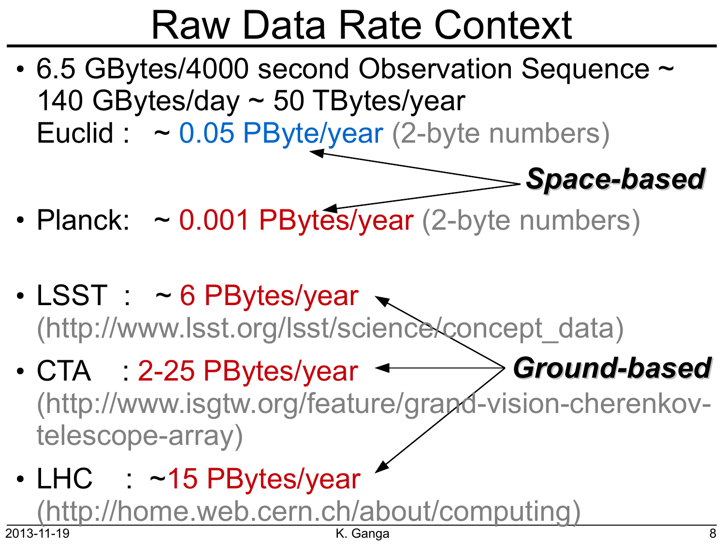# Raw Data Rate Context

- 6.5 GBytes/4000 second Observation Sequence ~ 140 GBytes/day ~ 50 TBytes/year Euclid :  $\sim 0.05$  PByte/year (2-byte numbers)
- Planck:  $\sim 0.001$  PBytes/year (2-byte numbers)
- $\cdot$  LSST :  $\sim$  6 PBytes/year  $\sim$ (http://www.lsst.org/lsst/science/concept\_data)
- *Ground-based*  $\cdot$  CTA : 2-25 PBytes/year  $\sim$ (http://www.isgtw.org/feature/grand-vision-cherenkovtelescope-array)
- 2013-11-19 K. Ganga 8 • LHC : ~15 PBytes/year (http://home.web.cern.ch/about/computing)

*Space-based*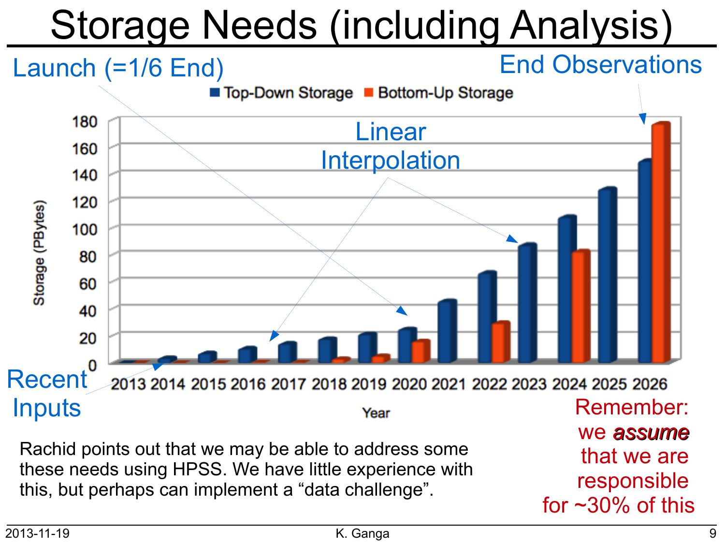# Storage Needs (including Analysis)



Rachid points out that we may be able to address some these needs using HPSS. We have little experience with this, but perhaps can implement a "data challenge".

we *assume* that we are responsible for ~30% of this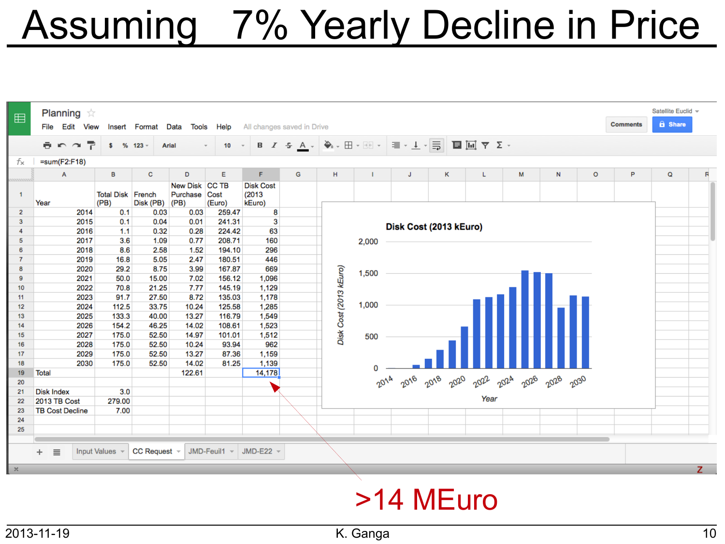## Assuming 7% Yearly Decline in Price

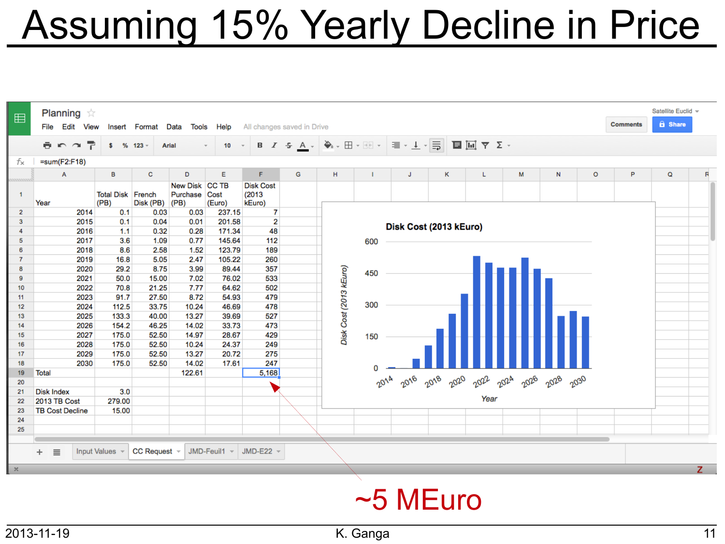## **Assuming 15% Yearly Decline in Price**